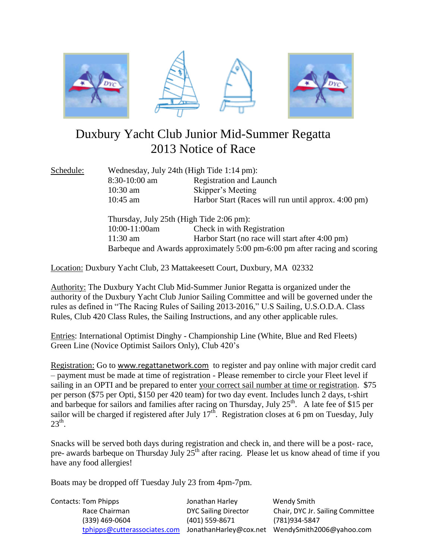

# Duxbury Yacht Club Junior Mid-Summer Regatta 2013 Notice of Race

Schedule: Wednesday, July 24th (High Tide 1:14 pm): 8:30-10:00 am Registration and Launch 10:30 am Skipper's Meeting 10:45 am Harbor Start (Races will run until approx. 4:00 pm)

> Thursday, July 25th (High Tide 2:06 pm): 10:00-11:00am Check in with Registration 11:30 am Harbor Start (no race will start after 4:00 pm) Barbeque and Awards approximately 5:00 pm-6:00 pm after racing and scoring

Location: Duxbury Yacht Club, 23 Mattakeesett Court, Duxbury, MA 02332

Authority: The Duxbury Yacht Club Mid-Summer Junior Regatta is organized under the authority of the Duxbury Yacht Club Junior Sailing Committee and will be governed under the rules as defined in "The Racing Rules of Sailing 2013-2016," U.S Sailing, U.S.O.D.A. Class Rules, Club 420 Class Rules, the Sailing Instructions, and any other applicable rules.

Entries: International Optimist Dinghy - Championship Line (White, Blue and Red Fleets) Green Line (Novice Optimist Sailors Only), Club 420's

Registration: Go to [www.regattanetwork.com](http://www.regattanetwork.com/) to register and pay online with major credit card – payment must be made at time of registration - Please remember to circle your Fleet level if sailing in an OPTI and be prepared to enter your correct sail number at time or registration. \$75 per person (\$75 per Opti, \$150 per 420 team) for two day event. Includes lunch 2 days, t-shirt and barbeque for sailors and families after racing on Thursday, July  $25<sup>th</sup>$ . A late fee of \$15 per sailor will be charged if registered after July  $17<sup>th</sup>$ . Registration closes at 6 pm on Tuesday, July  $23<sup>th</sup>$ .

Snacks will be served both days during registration and check in, and there will be a post- race, pre- awards barbeque on Thursday July 25<sup>th</sup> after racing. Please let us know ahead of time if you have any food allergies!

Boats may be dropped off Tuesday July 23 from 4pm-7pm.

| <b>Contacts: Tom Phipps</b>  | Jonathan Harley             | Wendy Smith                                     |
|------------------------------|-----------------------------|-------------------------------------------------|
| Race Chairman                | <b>DYC Sailing Director</b> | Chair, DYC Jr. Sailing Committee                |
| (339) 469-0604               | (401) 559-8671              | (781)934-5847                                   |
| tphipps@cutterassociates.com |                             | JonathanHarley@cox.net WendySmith2006@yahoo.com |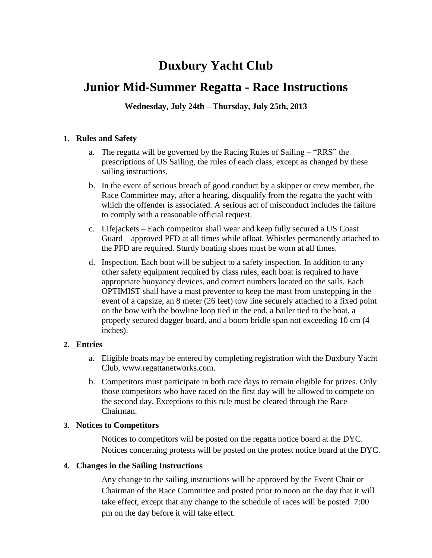# **Duxbury Yacht Club**

# **Junior Mid-Summer Regatta - Race Instructions**

**Wednesday, July 24th – Thursday, July 25th, 2013**

### **1. Rules and Safety**

- a. The regatta will be governed by the Racing Rules of Sailing "RRS" the prescriptions of US Sailing, the rules of each class, except as changed by these sailing instructions.
- b. In the event of serious breach of good conduct by a skipper or crew member, the Race Committee may, after a hearing, disqualify from the regatta the yacht with which the offender is associated. A serious act of misconduct includes the failure to comply with a reasonable official request.
- c. Lifejackets Each competitor shall wear and keep fully secured a US Coast Guard – approved PFD at all times while afloat. Whistles permanently attached to the PFD are required. Sturdy boating shoes must be worn at all times.
- d. Inspection. Each boat will be subject to a safety inspection. In addition to any other safety equipment required by class rules, each boat is required to have appropriate buoyancy devices, and correct numbers located on the sails. Each OPTIMIST shall have a mast preventer to keep the mast from unstepping in the event of a capsize, an 8 meter (26 feet) tow line securely attached to a fixed point on the bow with the bowline loop tied in the end, a bailer tied to the boat, a properly secured dagger board, and a boom bridle span not exceeding 10 cm (4 inches).

# **2. Entries**

- a. Eligible boats may be entered by completing registration with the Duxbury Yacht Club, www.regattanetworks.com.
- b. Competitors must participate in both race days to remain eligible for prizes. Only those competitors who have raced on the first day will be allowed to compete on the second day. Exceptions to this rule must be cleared through the Race Chairman.

#### **3. Notices to Competitors**

Notices to competitors will be posted on the regatta notice board at the DYC. Notices concerning protests will be posted on the protest notice board at the DYC.

# **4. Changes in the Sailing Instructions**

Any change to the sailing instructions will be approved by the Event Chair or Chairman of the Race Committee and posted prior to noon on the day that it will take effect, except that any change to the schedule of races will be posted 7:00 pm on the day before it will take effect.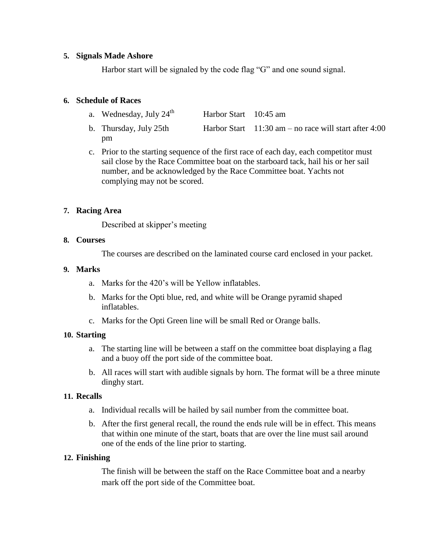#### **5. Signals Made Ashore**

Harbor start will be signaled by the code flag "G" and one sound signal.

#### **6. Schedule of Races**

- a. Wednesday, July  $24^{\text{th}}$ Harbor Start 10:45 am
- b. Thursday, July 25th Harbor Start 11:30 am no race will start after 4:00 pm
- c. Prior to the starting sequence of the first race of each day, each competitor must sail close by the Race Committee boat on the starboard tack, hail his or her sail number, and be acknowledged by the Race Committee boat. Yachts not complying may not be scored.

### **7. Racing Area**

Described at skipper's meeting

#### **8. Courses**

The courses are described on the laminated course card enclosed in your packet.

#### **9. Marks**

- a. Marks for the 420's will be Yellow inflatables.
- b. Marks for the Opti blue, red, and white will be Orange pyramid shaped inflatables.
- c. Marks for the Opti Green line will be small Red or Orange balls.

#### **10. Starting**

- a. The starting line will be between a staff on the committee boat displaying a flag and a buoy off the port side of the committee boat.
- b. All races will start with audible signals by horn. The format will be a three minute dinghy start.

#### **11. Recalls**

- a. Individual recalls will be hailed by sail number from the committee boat.
- b. After the first general recall, the round the ends rule will be in effect. This means that within one minute of the start, boats that are over the line must sail around one of the ends of the line prior to starting.

#### **12. Finishing**

The finish will be between the staff on the Race Committee boat and a nearby mark off the port side of the Committee boat.